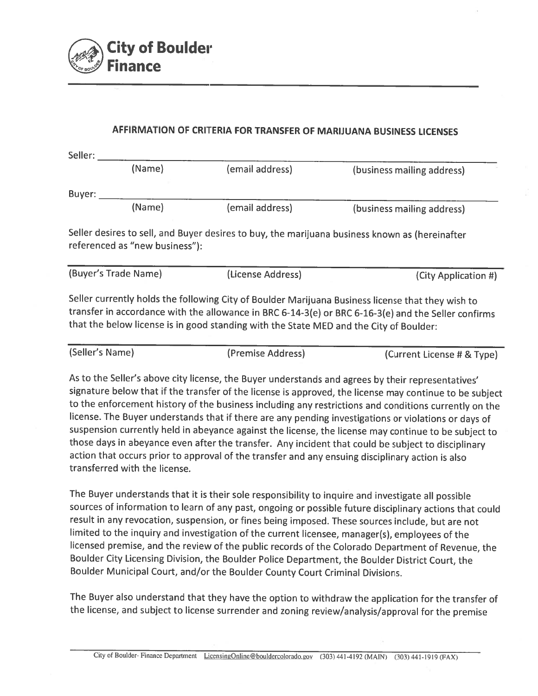

## AFFIRMATION OF CRITERIA FOR TRANSFER OF MARIJUANA BUSINESS LICENSES

| Seller:                                                                                                                                                                                                                                                                                            |        |                   |                                                                                                                                                                                                                                                                                                                       |  |  |  |  |  |
|----------------------------------------------------------------------------------------------------------------------------------------------------------------------------------------------------------------------------------------------------------------------------------------------------|--------|-------------------|-----------------------------------------------------------------------------------------------------------------------------------------------------------------------------------------------------------------------------------------------------------------------------------------------------------------------|--|--|--|--|--|
|                                                                                                                                                                                                                                                                                                    | (Name) | (email address)   | (business mailing address)                                                                                                                                                                                                                                                                                            |  |  |  |  |  |
| Buyer: _                                                                                                                                                                                                                                                                                           |        |                   |                                                                                                                                                                                                                                                                                                                       |  |  |  |  |  |
|                                                                                                                                                                                                                                                                                                    | (Name) | (email address)   | (business mailing address)                                                                                                                                                                                                                                                                                            |  |  |  |  |  |
| Seller desires to sell, and Buyer desires to buy, the marijuana business known as (hereinafter<br>referenced as "new business"):                                                                                                                                                                   |        |                   |                                                                                                                                                                                                                                                                                                                       |  |  |  |  |  |
| (Buyer's Trade Name)                                                                                                                                                                                                                                                                               |        | (License Address) | (City Application #)                                                                                                                                                                                                                                                                                                  |  |  |  |  |  |
| Seller currently holds the following City of Boulder Marijuana Business license that they wish to<br>transfer in accordance with the allowance in BRC 6-14-3(e) or BRC 6-16-3(e) and the Seller confirms<br>that the below license is in good standing with the State MED and the City of Boulder: |        |                   |                                                                                                                                                                                                                                                                                                                       |  |  |  |  |  |
| (Seller's Name)                                                                                                                                                                                                                                                                                    |        | (Premise Address) | (Current License # & Type)                                                                                                                                                                                                                                                                                            |  |  |  |  |  |
|                                                                                                                                                                                                                                                                                                    |        |                   | As to the Seller's above city license, the Buyer understands and agrees by their representatives'<br>signature below that if the transfer of the license is approved, the license may continue to be subject<br>to the enforcement history of the business including any restrictions and conditions currently on the |  |  |  |  |  |

license. The Buyer understands that if there are any pending investigations or violations or days of suspension currently held in abeyance against the license, the license may continue to be subject to those days in abeyance even after the transfer. Any incident that could be subject to disciplinary action that occurs prior to approval of the transfer and any ensuing disciplinary action is also transferred with the license.

The Buyer understands that it is their sole responsibility to inquire and investigate all possible sources of information to learn of any past, ongoing or possible future disciplinary actions that could result in any revocation, suspension, or fines being imposed. These sources include, but are not limited to the inquiry and investigation of the current licensee, manager(s), employees of the licensed premise, and the review of the public records of the Colorado Department of Revenue, the Boulder City Licensing Division, the Boulder Police Department, the Boulder District Court, the Boulder Municipal Court, and/or the Boulder County Court Criminal Divisions.

The Buyer also understand that they have the option to withdraw the application for the transfer of the license, and subject to license surrender and zoning review/analysis/approval for the premise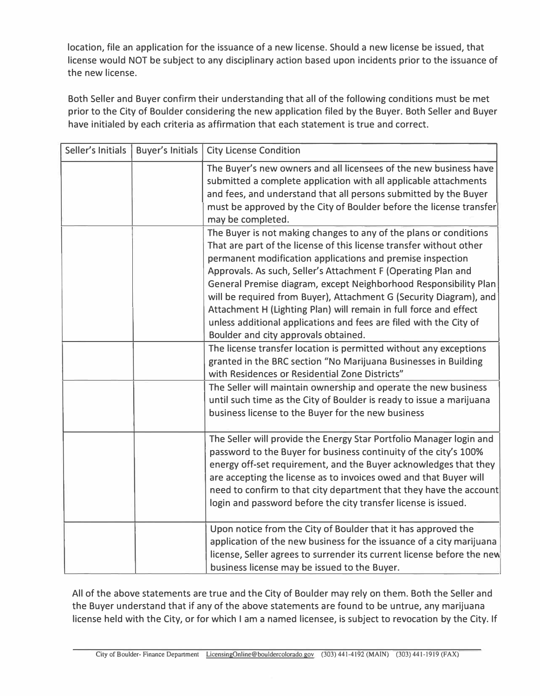location, file an application for the issuance of a new license. Should a new license be issued, that license would NOT be subject to any disciplinary action based upon incidents prior to the issuance of the new license.

Both Seller and Buyer confirm their understanding that all of the following conditions must be met prior to the City of Boulder considering the new application filed by the Buyer. Both Seller and Buyer have initialed by each criteria as affirmation that each statement is true and correct.

| Seller's Initials | <b>Buyer's Initials</b> | <b>City License Condition</b>                                                                                                                                                                                                                                                                                                                                                                                                                                                                                                                                                                        |  |
|-------------------|-------------------------|------------------------------------------------------------------------------------------------------------------------------------------------------------------------------------------------------------------------------------------------------------------------------------------------------------------------------------------------------------------------------------------------------------------------------------------------------------------------------------------------------------------------------------------------------------------------------------------------------|--|
|                   |                         | The Buyer's new owners and all licensees of the new business have<br>submitted a complete application with all applicable attachments<br>and fees, and understand that all persons submitted by the Buyer<br>must be approved by the City of Boulder before the license transfer<br>may be completed.                                                                                                                                                                                                                                                                                                |  |
|                   |                         | The Buyer is not making changes to any of the plans or conditions<br>That are part of the license of this license transfer without other<br>permanent modification applications and premise inspection<br>Approvals. As such, Seller's Attachment F (Operating Plan and<br>General Premise diagram, except Neighborhood Responsibility Plan<br>will be required from Buyer), Attachment G (Security Diagram), and<br>Attachment H (Lighting Plan) will remain in full force and effect<br>unless additional applications and fees are filed with the City of<br>Boulder and city approvals obtained. |  |
|                   |                         | The license transfer location is permitted without any exceptions<br>granted in the BRC section "No Marijuana Businesses in Building<br>with Residences or Residential Zone Districts"                                                                                                                                                                                                                                                                                                                                                                                                               |  |
|                   |                         | The Seller will maintain ownership and operate the new business<br>until such time as the City of Boulder is ready to issue a marijuana<br>business license to the Buyer for the new business                                                                                                                                                                                                                                                                                                                                                                                                        |  |
|                   |                         | The Seller will provide the Energy Star Portfolio Manager login and<br>password to the Buyer for business continuity of the city's 100%<br>energy off-set requirement, and the Buyer acknowledges that they<br>are accepting the license as to invoices owed and that Buyer will<br>need to confirm to that city department that they have the account<br>login and password before the city transfer license is issued.                                                                                                                                                                             |  |
|                   |                         | Upon notice from the City of Boulder that it has approved the<br>application of the new business for the issuance of a city marijuana.<br>license, Seller agrees to surrender its current license before the new<br>business license may be issued to the Buyer.                                                                                                                                                                                                                                                                                                                                     |  |

All of the above statements are true and the City of Boulder may rely on them. Both the Seller and the Buyer understand that if any of the above statements are found to be untrue, any marijuana license held with the City, or for which I am a named licensee, is subject to revocation by the City. If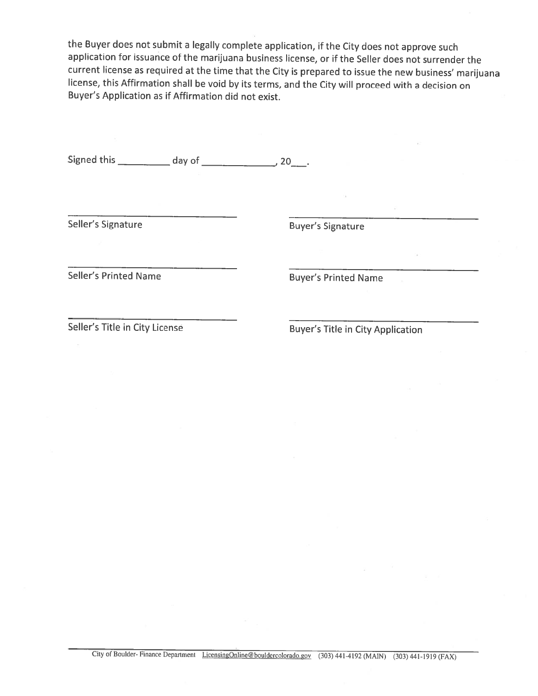the Buyer does not submit a legally complete application, if the City does not approve such application for issuance of the marijuana business license, or if the Seller does not surrender the current license as required at the time that the City is prepared to issue the new business' marijuana license, this Affirmation shall be void by its terms, and the City will proceed with a decision on Buyer's Application as if Affirmation did not exist.

Seller's Signature

**Buyer's Signature** 

**Seller's Printed Name** 

**Buyer's Printed Name** 

Seller's Title in City License

**Buyer's Title in City Application**